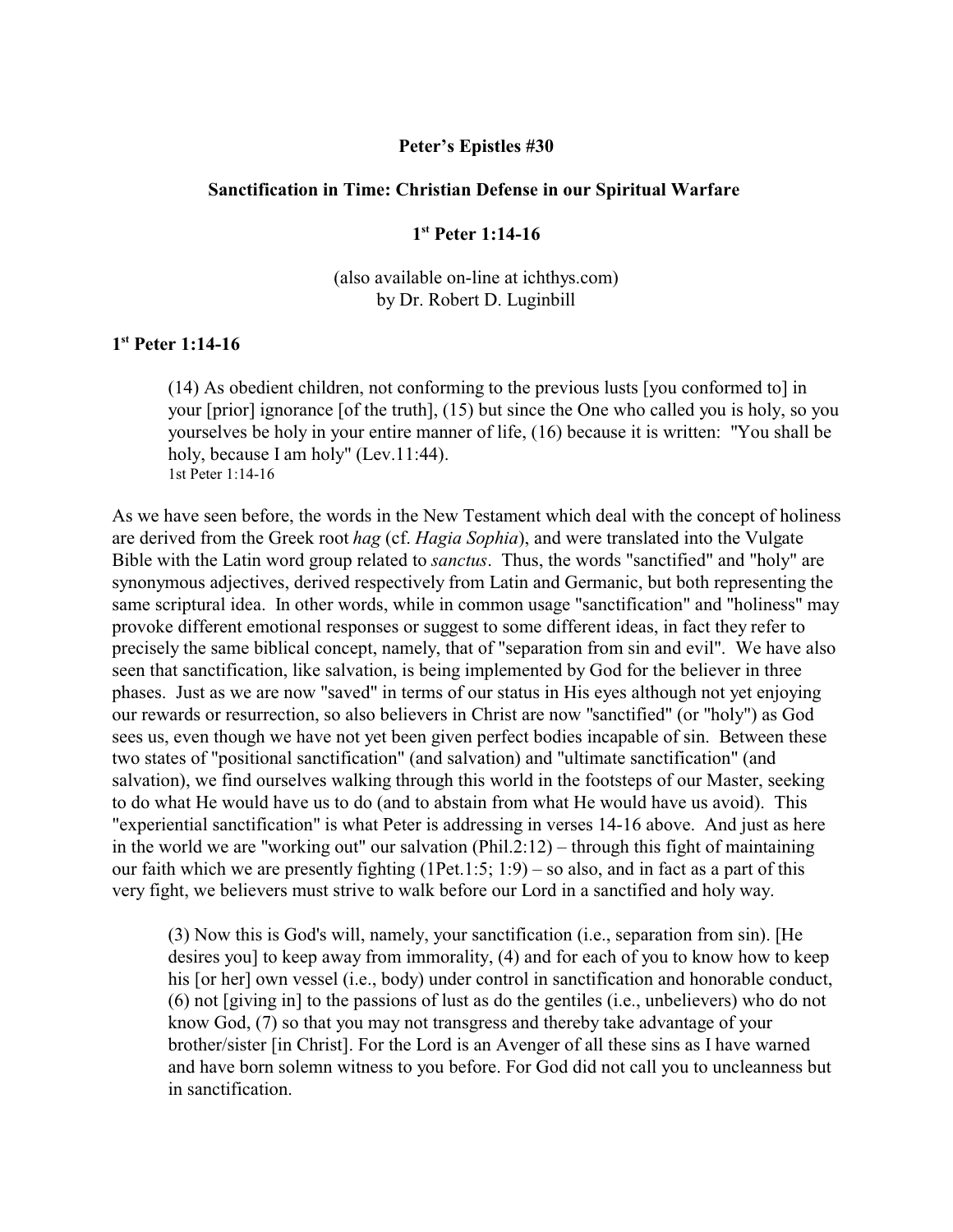### **Peter's Epistles #30**

#### **Sanctification in Time: Christian Defense in our Spiritual Warfare**

# **1 st Peter 1:14-16**

(also available on-line at ichthys.com) by Dr. Robert D. Luginbill

# **1 st Peter 1:14-16**

(14) As obedient children, not conforming to the previous lusts [you conformed to] in your [prior] ignorance [of the truth], (15) but since the One who called you is holy, so you yourselves be holy in your entire manner of life, (16) because it is written: "You shall be holy, because I am holy" (Lev.11:44). 1st Peter 1:14-16

As we have seen before, the words in the New Testament which deal with the concept of holiness are derived from the Greek root *hag* (cf. *Hagia Sophia*), and were translated into the Vulgate Bible with the Latin word group related to *sanctus*. Thus, the words "sanctified" and "holy" are synonymous adjectives, derived respectively from Latin and Germanic, but both representing the same scriptural idea. In other words, while in common usage "sanctification" and "holiness" may provoke different emotional responses or suggest to some different ideas, in fact they refer to precisely the same biblical concept, namely, that of "separation from sin and evil". We have also seen that sanctification, like salvation, is being implemented by God for the believer in three phases. Just as we are now "saved" in terms of our status in His eyes although not yet enjoying our rewards or resurrection, so also believers in Christ are now "sanctified" (or "holy") as God sees us, even though we have not yet been given perfect bodies incapable of sin. Between these two states of "positional sanctification" (and salvation) and "ultimate sanctification" (and salvation), we find ourselves walking through this world in the footsteps of our Master, seeking to do what He would have us to do (and to abstain from what He would have us avoid). This "experiential sanctification" is what Peter is addressing in verses 14-16 above. And just as here in the world we are "working out" our salvation (Phil.2:12) – through this fight of maintaining our faith which we are presently fighting  $(1Pet.1:5; 1:9) - so also, and in fact as a part of this$ very fight, we believers must strive to walk before our Lord in a sanctified and holy way.

(3) Now this is God's will, namely, your sanctification (i.e., separation from sin). [He desires you] to keep away from immorality, (4) and for each of you to know how to keep his [or her] own vessel (i.e., body) under control in sanctification and honorable conduct, (6) not [giving in] to the passions of lust as do the gentiles (i.e., unbelievers) who do not know God, (7) so that you may not transgress and thereby take advantage of your brother/sister [in Christ]. For the Lord is an Avenger of all these sins as I have warned and have born solemn witness to you before. For God did not call you to uncleanness but in sanctification.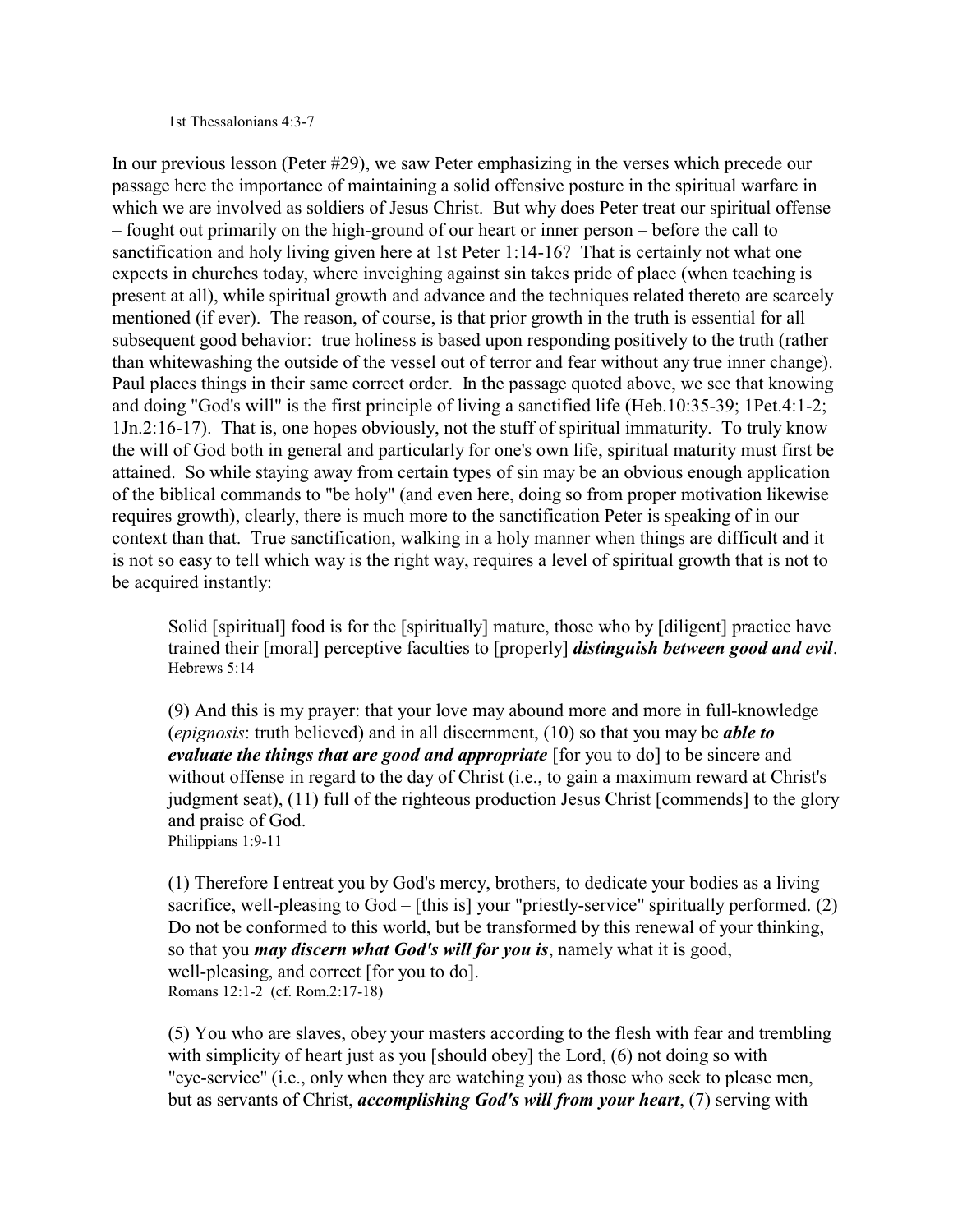#### 1st Thessalonians 4:3-7

In our previous lesson (Peter #29), we saw Peter emphasizing in the verses which precede our passage here the importance of maintaining a solid offensive posture in the spiritual warfare in which we are involved as soldiers of Jesus Christ. But why does Peter treat our spiritual offense – fought out primarily on the high-ground of our heart or inner person – before the call to sanctification and holy living given here at 1st Peter 1:14-16? That is certainly not what one expects in churches today, where inveighing against sin takes pride of place (when teaching is present at all), while spiritual growth and advance and the techniques related thereto are scarcely mentioned (if ever). The reason, of course, is that prior growth in the truth is essential for all subsequent good behavior: true holiness is based upon responding positively to the truth (rather than whitewashing the outside of the vessel out of terror and fear without any true inner change). Paul places things in their same correct order. In the passage quoted above, we see that knowing and doing "God's will" is the first principle of living a sanctified life (Heb.10:35-39; 1Pet.4:1-2; 1Jn.2:16-17). That is, one hopes obviously, not the stuff of spiritual immaturity. To truly know the will of God both in general and particularly for one's own life, spiritual maturity must first be attained. So while staying away from certain types of sin may be an obvious enough application of the biblical commands to "be holy" (and even here, doing so from proper motivation likewise requires growth), clearly, there is much more to the sanctification Peter is speaking of in our context than that. True sanctification, walking in a holy manner when things are difficult and it is not so easy to tell which way is the right way, requires a level of spiritual growth that is not to be acquired instantly:

Solid [spiritual] food is for the [spiritually] mature, those who by [diligent] practice have trained their [moral] perceptive faculties to [properly] *distinguish between good and evil*. Hebrews 5:14

(9) And this is my prayer: that your love may abound more and more in full-knowledge (*epignosis*: truth believed) and in all discernment, (10) so that you may be *able to evaluate the things that are good and appropriate* [for you to do] to be sincere and without offense in regard to the day of Christ (i.e., to gain a maximum reward at Christ's judgment seat), (11) full of the righteous production Jesus Christ [commends] to the glory and praise of God. Philippians 1:9-11

(1) Therefore I entreat you by God's mercy, brothers, to dedicate your bodies as a living sacrifice, well-pleasing to God – [this is] your "priestly-service" spiritually performed. (2) Do not be conformed to this world, but be transformed by this renewal of your thinking, so that you *may discern what God's will for you is*, namely what it is good, well-pleasing, and correct [for you to do]. Romans 12:1-2 (cf. Rom.2:17-18)

(5) You who are slaves, obey your masters according to the flesh with fear and trembling with simplicity of heart just as you [should obey] the Lord, (6) not doing so with "eye-service" (i.e., only when they are watching you) as those who seek to please men, but as servants of Christ, *accomplishing God's will from your heart*, (7) serving with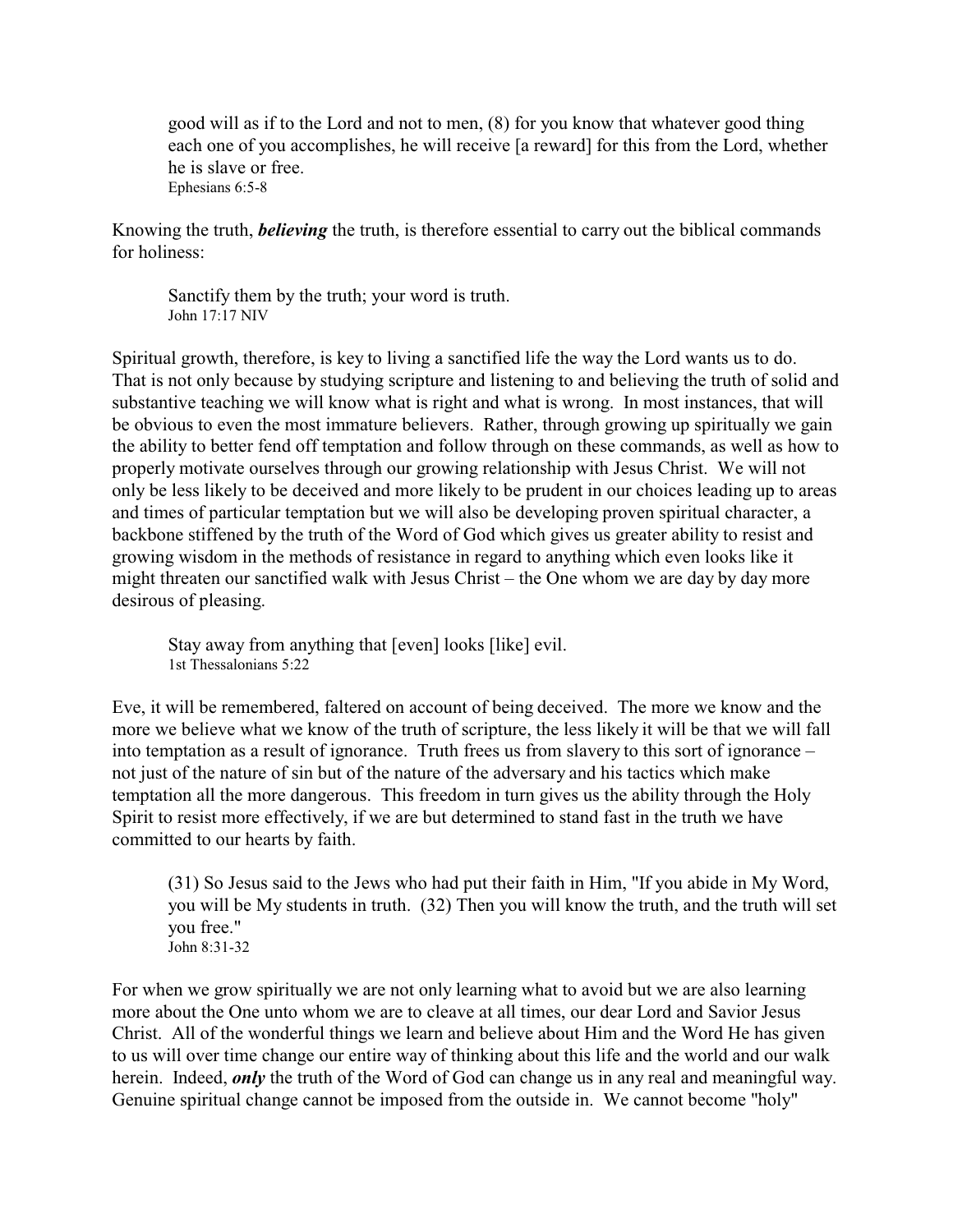good will as if to the Lord and not to men, (8) for you know that whatever good thing each one of you accomplishes, he will receive [a reward] for this from the Lord, whether he is slave or free. Ephesians 6:5-8

Knowing the truth, *believing* the truth, is therefore essential to carry out the biblical commands for holiness:

Sanctify them by the truth; your word is truth. John 17:17 NIV

Spiritual growth, therefore, is key to living a sanctified life the way the Lord wants us to do. That is not only because by studying scripture and listening to and believing the truth of solid and substantive teaching we will know what is right and what is wrong. In most instances, that will be obvious to even the most immature believers. Rather, through growing up spiritually we gain the ability to better fend off temptation and follow through on these commands, as well as how to properly motivate ourselves through our growing relationship with Jesus Christ. We will not only be less likely to be deceived and more likely to be prudent in our choices leading up to areas and times of particular temptation but we will also be developing proven spiritual character, a backbone stiffened by the truth of the Word of God which gives us greater ability to resist and growing wisdom in the methods of resistance in regard to anything which even looks like it might threaten our sanctified walk with Jesus Christ – the One whom we are day by day more desirous of pleasing.

Stay away from anything that [even] looks [like] evil. 1st Thessalonians 5:22

Eve, it will be remembered, faltered on account of being deceived. The more we know and the more we believe what we know of the truth of scripture, the less likely it will be that we will fall into temptation as a result of ignorance. Truth frees us from slavery to this sort of ignorance – not just of the nature of sin but of the nature of the adversary and his tactics which make temptation all the more dangerous. This freedom in turn gives us the ability through the Holy Spirit to resist more effectively, if we are but determined to stand fast in the truth we have committed to our hearts by faith.

(31) So Jesus said to the Jews who had put their faith in Him, "If you abide in My Word, you will be My students in truth. (32) Then you will know the truth, and the truth will set you free." John 8:31-32

For when we grow spiritually we are not only learning what to avoid but we are also learning more about the One unto whom we are to cleave at all times, our dear Lord and Savior Jesus Christ. All of the wonderful things we learn and believe about Him and the Word He has given to us will over time change our entire way of thinking about this life and the world and our walk herein. Indeed, *only* the truth of the Word of God can change us in any real and meaningful way. Genuine spiritual change cannot be imposed from the outside in. We cannot become "holy"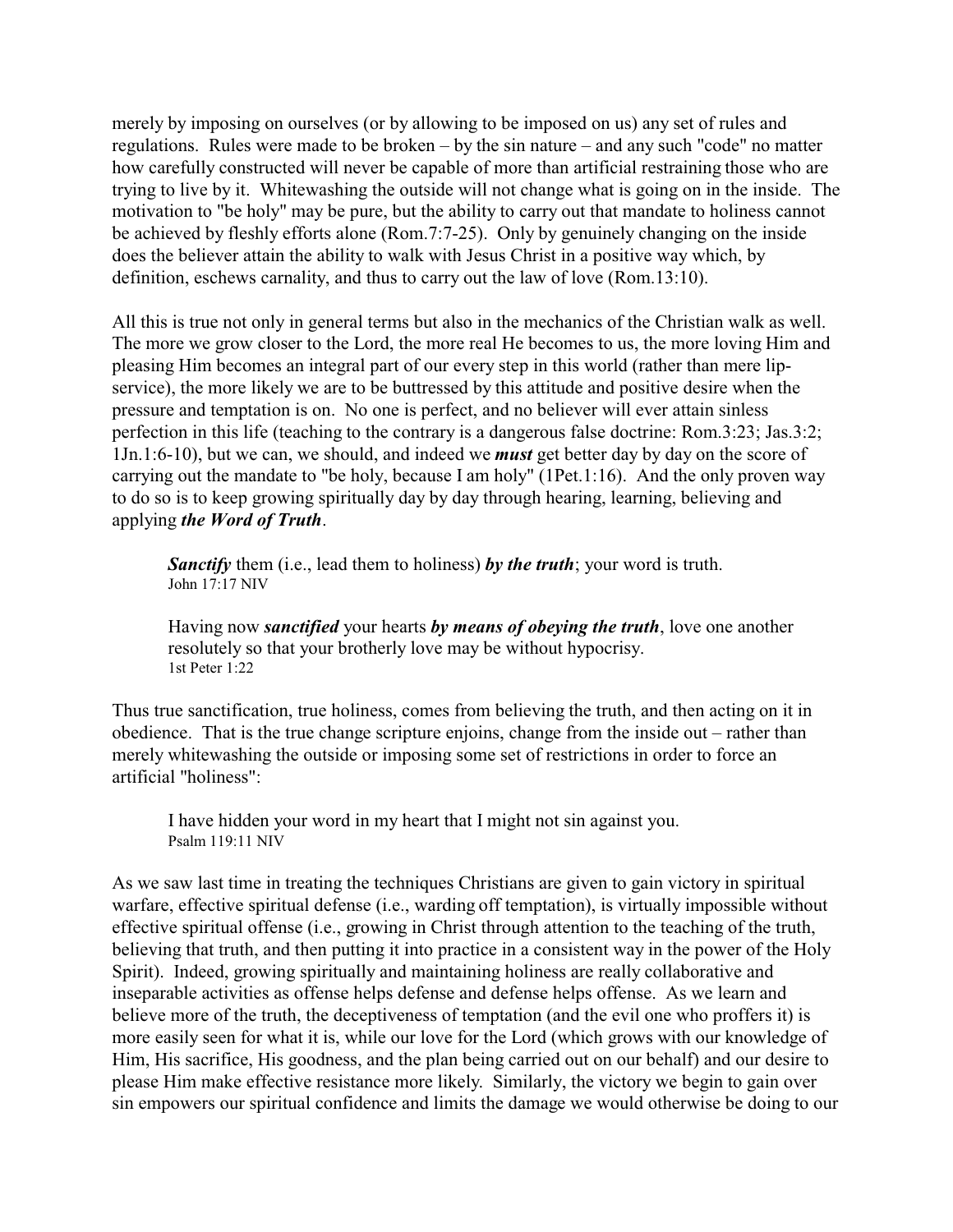merely by imposing on ourselves (or by allowing to be imposed on us) any set of rules and regulations. Rules were made to be broken – by the sin nature – and any such "code" no matter how carefully constructed will never be capable of more than artificial restraining those who are trying to live by it. Whitewashing the outside will not change what is going on in the inside. The motivation to "be holy" may be pure, but the ability to carry out that mandate to holiness cannot be achieved by fleshly efforts alone (Rom.7:7-25). Only by genuinely changing on the inside does the believer attain the ability to walk with Jesus Christ in a positive way which, by definition, eschews carnality, and thus to carry out the law of love (Rom.13:10).

All this is true not only in general terms but also in the mechanics of the Christian walk as well. The more we grow closer to the Lord, the more real He becomes to us, the more loving Him and pleasing Him becomes an integral part of our every step in this world (rather than mere lipservice), the more likely we are to be buttressed by this attitude and positive desire when the pressure and temptation is on. No one is perfect, and no believer will ever attain sinless perfection in this life (teaching to the contrary is a dangerous false doctrine: Rom.3:23; Jas.3:2; 1Jn.1:6-10), but we can, we should, and indeed we *must* get better day by day on the score of carrying out the mandate to "be holy, because I am holy" (1Pet.1:16). And the only proven way to do so is to keep growing spiritually day by day through hearing, learning, believing and applying *the Word of Truth*.

*Sanctify* them (i.e., lead them to holiness) *by the truth*; your word is truth. John 17:17 NIV

Having now *sanctified* your hearts *by means of obeying the truth*, love one another resolutely so that your brotherly love may be without hypocrisy. 1st Peter 1:22

Thus true sanctification, true holiness, comes from believing the truth, and then acting on it in obedience. That is the true change scripture enjoins, change from the inside out – rather than merely whitewashing the outside or imposing some set of restrictions in order to force an artificial "holiness":

I have hidden your word in my heart that I might not sin against you. Psalm 119:11 NIV

As we saw last time in treating the techniques Christians are given to gain victory in spiritual warfare, effective spiritual defense (i.e., warding off temptation), is virtually impossible without effective spiritual offense (i.e., growing in Christ through attention to the teaching of the truth, believing that truth, and then putting it into practice in a consistent way in the power of the Holy Spirit). Indeed, growing spiritually and maintaining holiness are really collaborative and inseparable activities as offense helps defense and defense helps offense. As we learn and believe more of the truth, the deceptiveness of temptation (and the evil one who proffers it) is more easily seen for what it is, while our love for the Lord (which grows with our knowledge of Him, His sacrifice, His goodness, and the plan being carried out on our behalf) and our desire to please Him make effective resistance more likely. Similarly, the victory we begin to gain over sin empowers our spiritual confidence and limits the damage we would otherwise be doing to our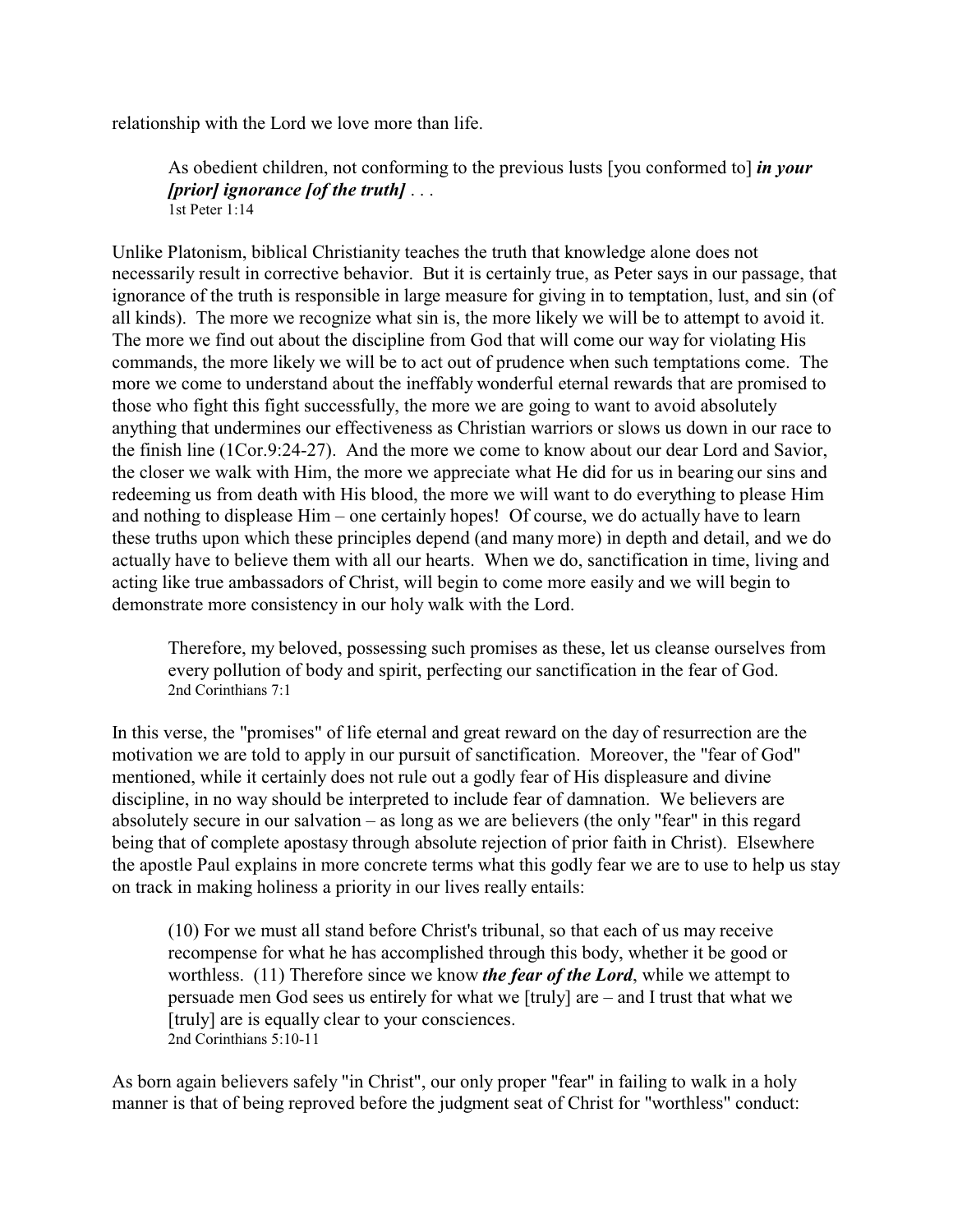relationship with the Lord we love more than life.

As obedient children, not conforming to the previous lusts [you conformed to] *in your [prior] ignorance [of the truth]* . . . 1st Peter 1:14

Unlike Platonism, biblical Christianity teaches the truth that knowledge alone does not necessarily result in corrective behavior. But it is certainly true, as Peter says in our passage, that ignorance of the truth is responsible in large measure for giving in to temptation, lust, and sin (of all kinds). The more we recognize what sin is, the more likely we will be to attempt to avoid it. The more we find out about the discipline from God that will come our way for violating His commands, the more likely we will be to act out of prudence when such temptations come. The more we come to understand about the ineffably wonderful eternal rewards that are promised to those who fight this fight successfully, the more we are going to want to avoid absolutely anything that undermines our effectiveness as Christian warriors or slows us down in our race to the finish line (1Cor.9:24-27). And the more we come to know about our dear Lord and Savior, the closer we walk with Him, the more we appreciate what He did for us in bearing our sins and redeeming us from death with His blood, the more we will want to do everything to please Him and nothing to displease Him – one certainly hopes! Of course, we do actually have to learn these truths upon which these principles depend (and many more) in depth and detail, and we do actually have to believe them with all our hearts. When we do, sanctification in time, living and acting like true ambassadors of Christ, will begin to come more easily and we will begin to demonstrate more consistency in our holy walk with the Lord.

Therefore, my beloved, possessing such promises as these, let us cleanse ourselves from every pollution of body and spirit, perfecting our sanctification in the fear of God. 2nd Corinthians 7:1

In this verse, the "promises" of life eternal and great reward on the day of resurrection are the motivation we are told to apply in our pursuit of sanctification. Moreover, the "fear of God" mentioned, while it certainly does not rule out a godly fear of His displeasure and divine discipline, in no way should be interpreted to include fear of damnation. We believers are absolutely secure in our salvation – as long as we are believers (the only "fear" in this regard being that of complete apostasy through absolute rejection of prior faith in Christ). Elsewhere the apostle Paul explains in more concrete terms what this godly fear we are to use to help us stay on track in making holiness a priority in our lives really entails:

(10) For we must all stand before Christ's tribunal, so that each of us may receive recompense for what he has accomplished through this body, whether it be good or worthless. (11) Therefore since we know *the fear of the Lord*, while we attempt to persuade men God sees us entirely for what we [truly] are – and I trust that what we [truly] are is equally clear to your consciences. 2nd Corinthians 5:10-11

As born again believers safely "in Christ", our only proper "fear" in failing to walk in a holy manner is that of being reproved before the judgment seat of Christ for "worthless" conduct: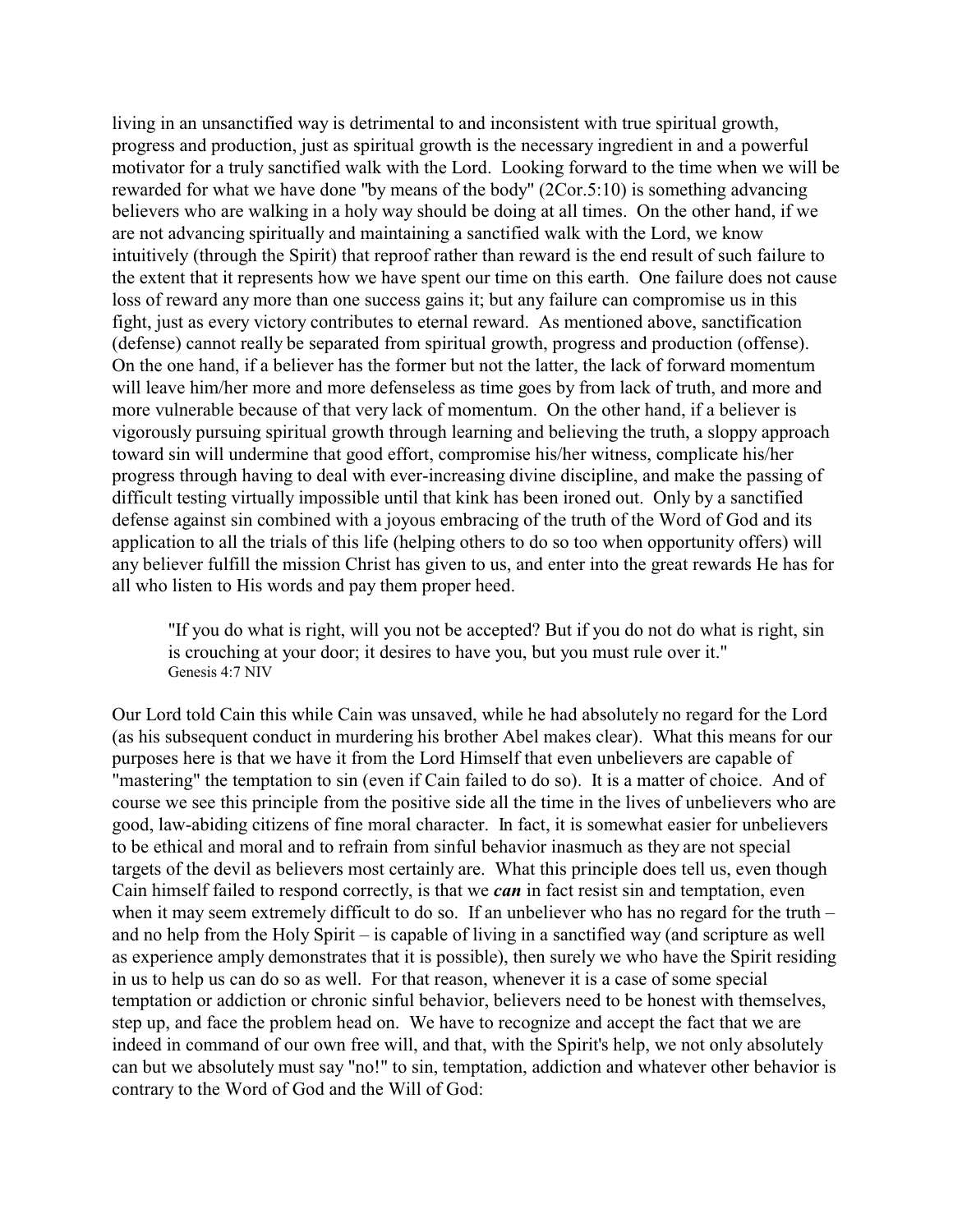living in an unsanctified way is detrimental to and inconsistent with true spiritual growth, progress and production, just as spiritual growth is the necessary ingredient in and a powerful motivator for a truly sanctified walk with the Lord. Looking forward to the time when we will be rewarded for what we have done "by means of the body" (2Cor.5:10) is something advancing believers who are walking in a holy way should be doing at all times. On the other hand, if we are not advancing spiritually and maintaining a sanctified walk with the Lord, we know intuitively (through the Spirit) that reproof rather than reward is the end result of such failure to the extent that it represents how we have spent our time on this earth. One failure does not cause loss of reward any more than one success gains it; but any failure can compromise us in this fight, just as every victory contributes to eternal reward. As mentioned above, sanctification (defense) cannot really be separated from spiritual growth, progress and production (offense). On the one hand, if a believer has the former but not the latter, the lack of forward momentum will leave him/her more and more defenseless as time goes by from lack of truth, and more and more vulnerable because of that very lack of momentum. On the other hand, if a believer is vigorously pursuing spiritual growth through learning and believing the truth, a sloppy approach toward sin will undermine that good effort, compromise his/her witness, complicate his/her progress through having to deal with ever-increasing divine discipline, and make the passing of difficult testing virtually impossible until that kink has been ironed out. Only by a sanctified defense against sin combined with a joyous embracing of the truth of the Word of God and its application to all the trials of this life (helping others to do so too when opportunity offers) will any believer fulfill the mission Christ has given to us, and enter into the great rewards He has for all who listen to His words and pay them proper heed.

"If you do what is right, will you not be accepted? But if you do not do what is right, sin is crouching at your door; it desires to have you, but you must rule over it." Genesis 4:7 NIV

Our Lord told Cain this while Cain was unsaved, while he had absolutely no regard for the Lord (as his subsequent conduct in murdering his brother Abel makes clear). What this means for our purposes here is that we have it from the Lord Himself that even unbelievers are capable of "mastering" the temptation to sin (even if Cain failed to do so). It is a matter of choice. And of course we see this principle from the positive side all the time in the lives of unbelievers who are good, law-abiding citizens of fine moral character. In fact, it is somewhat easier for unbelievers to be ethical and moral and to refrain from sinful behavior inasmuch as they are not special targets of the devil as believers most certainly are. What this principle does tell us, even though Cain himself failed to respond correctly, is that we *can* in fact resist sin and temptation, even when it may seem extremely difficult to do so. If an unbeliever who has no regard for the truth – and no help from the Holy Spirit – is capable of living in a sanctified way (and scripture as well as experience amply demonstrates that it is possible), then surely we who have the Spirit residing in us to help us can do so as well. For that reason, whenever it is a case of some special temptation or addiction or chronic sinful behavior, believers need to be honest with themselves, step up, and face the problem head on. We have to recognize and accept the fact that we are indeed in command of our own free will, and that, with the Spirit's help, we not only absolutely can but we absolutely must say "no!" to sin, temptation, addiction and whatever other behavior is contrary to the Word of God and the Will of God: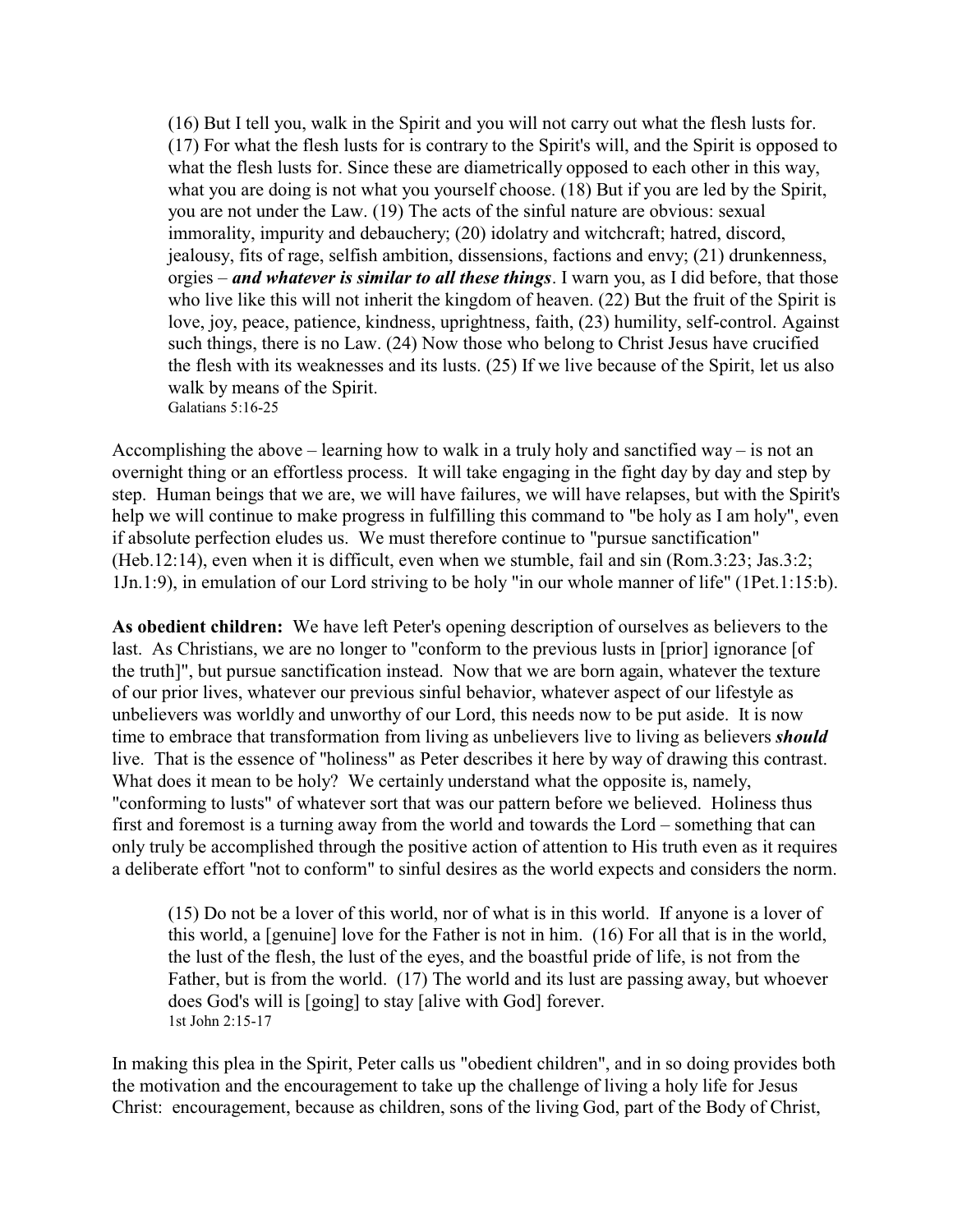(16) But I tell you, walk in the Spirit and you will not carry out what the flesh lusts for. (17) For what the flesh lusts for is contrary to the Spirit's will, and the Spirit is opposed to what the flesh lusts for. Since these are diametrically opposed to each other in this way, what you are doing is not what you yourself choose. (18) But if you are led by the Spirit, you are not under the Law. (19) The acts of the sinful nature are obvious: sexual immorality, impurity and debauchery; (20) idolatry and witchcraft; hatred, discord, jealousy, fits of rage, selfish ambition, dissensions, factions and envy; (21) drunkenness, orgies – *and whatever is similar to all these things*. I warn you, as I did before, that those who live like this will not inherit the kingdom of heaven. (22) But the fruit of the Spirit is love, joy, peace, patience, kindness, uprightness, faith, (23) humility, self-control. Against such things, there is no Law. (24) Now those who belong to Christ Jesus have crucified the flesh with its weaknesses and its lusts. (25) If we live because of the Spirit, let us also walk by means of the Spirit. Galatians 5:16-25

Accomplishing the above – learning how to walk in a truly holy and sanctified way – is not an overnight thing or an effortless process. It will take engaging in the fight day by day and step by step. Human beings that we are, we will have failures, we will have relapses, but with the Spirit's help we will continue to make progress in fulfilling this command to "be holy as I am holy", even if absolute perfection eludes us. We must therefore continue to "pursue sanctification" (Heb.12:14), even when it is difficult, even when we stumble, fail and sin (Rom.3:23; Jas.3:2; 1Jn.1:9), in emulation of our Lord striving to be holy "in our whole manner of life" (1Pet.1:15:b).

**As obedient children:** We have left Peter's opening description of ourselves as believers to the last. As Christians, we are no longer to "conform to the previous lusts in [prior] ignorance [of the truth]", but pursue sanctification instead. Now that we are born again, whatever the texture of our prior lives, whatever our previous sinful behavior, whatever aspect of our lifestyle as unbelievers was worldly and unworthy of our Lord, this needs now to be put aside. It is now time to embrace that transformation from living as unbelievers live to living as believers *should* live. That is the essence of "holiness" as Peter describes it here by way of drawing this contrast. What does it mean to be holy? We certainly understand what the opposite is, namely, "conforming to lusts" of whatever sort that was our pattern before we believed. Holiness thus first and foremost is a turning away from the world and towards the Lord – something that can only truly be accomplished through the positive action of attention to His truth even as it requires a deliberate effort "not to conform" to sinful desires as the world expects and considers the norm.

(15) Do not be a lover of this world, nor of what is in this world. If anyone is a lover of this world, a [genuine] love for the Father is not in him. (16) For all that is in the world, the lust of the flesh, the lust of the eyes, and the boastful pride of life, is not from the Father, but is from the world. (17) The world and its lust are passing away, but whoever does God's will is [going] to stay [alive with God] forever. 1st John 2:15-17

In making this plea in the Spirit, Peter calls us "obedient children", and in so doing provides both the motivation and the encouragement to take up the challenge of living a holy life for Jesus Christ: encouragement, because as children, sons of the living God, part of the Body of Christ,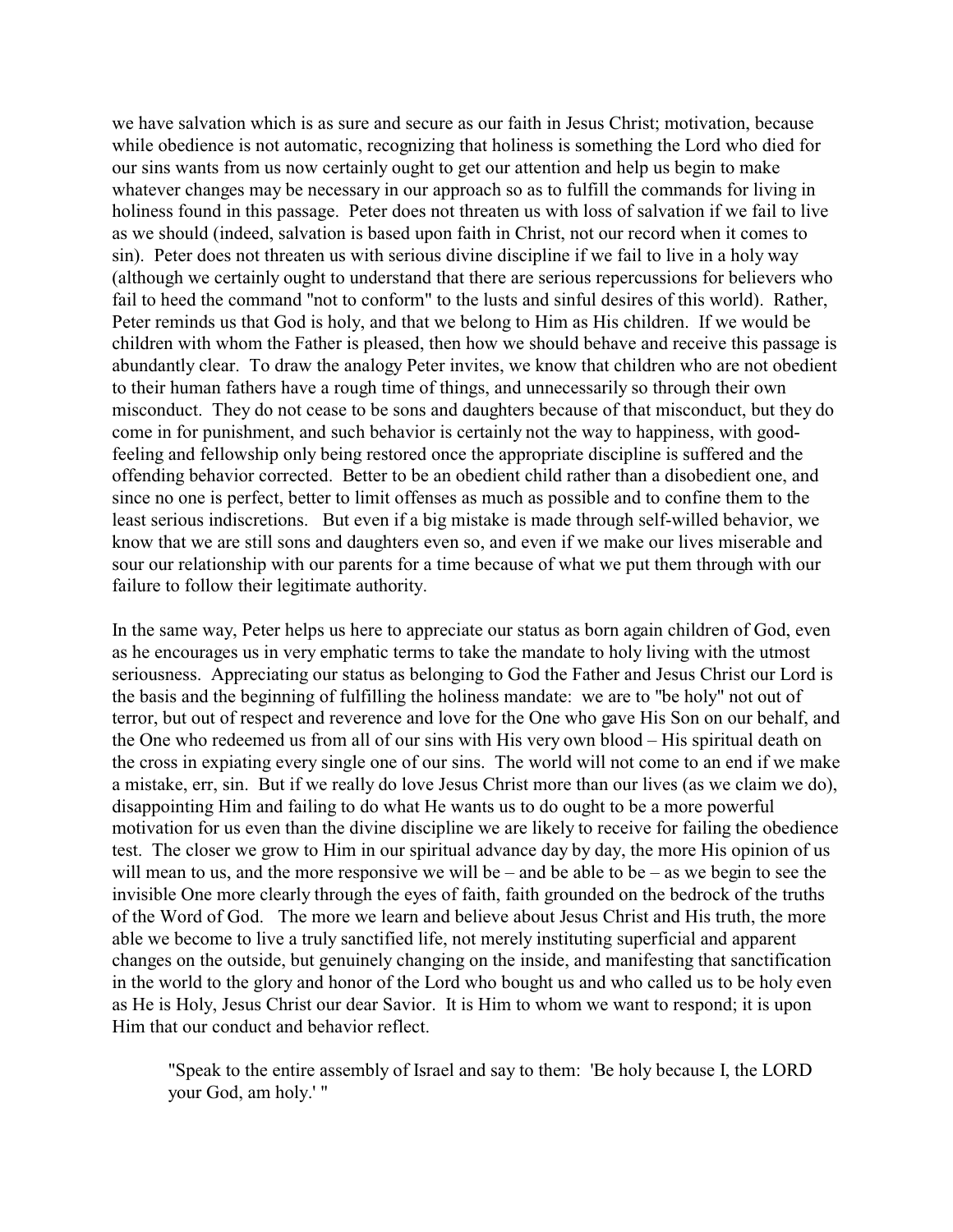we have salvation which is as sure and secure as our faith in Jesus Christ; motivation, because while obedience is not automatic, recognizing that holiness is something the Lord who died for our sins wants from us now certainly ought to get our attention and help us begin to make whatever changes may be necessary in our approach so as to fulfill the commands for living in holiness found in this passage. Peter does not threaten us with loss of salvation if we fail to live as we should (indeed, salvation is based upon faith in Christ, not our record when it comes to sin). Peter does not threaten us with serious divine discipline if we fail to live in a holy way (although we certainly ought to understand that there are serious repercussions for believers who fail to heed the command "not to conform" to the lusts and sinful desires of this world). Rather, Peter reminds us that God is holy, and that we belong to Him as His children. If we would be children with whom the Father is pleased, then how we should behave and receive this passage is abundantly clear. To draw the analogy Peter invites, we know that children who are not obedient to their human fathers have a rough time of things, and unnecessarily so through their own misconduct. They do not cease to be sons and daughters because of that misconduct, but they do come in for punishment, and such behavior is certainly not the way to happiness, with goodfeeling and fellowship only being restored once the appropriate discipline is suffered and the offending behavior corrected. Better to be an obedient child rather than a disobedient one, and since no one is perfect, better to limit offenses as much as possible and to confine them to the least serious indiscretions. But even if a big mistake is made through self-willed behavior, we know that we are still sons and daughters even so, and even if we make our lives miserable and sour our relationship with our parents for a time because of what we put them through with our failure to follow their legitimate authority.

In the same way, Peter helps us here to appreciate our status as born again children of God, even as he encourages us in very emphatic terms to take the mandate to holy living with the utmost seriousness. Appreciating our status as belonging to God the Father and Jesus Christ our Lord is the basis and the beginning of fulfilling the holiness mandate: we are to "be holy" not out of terror, but out of respect and reverence and love for the One who gave His Son on our behalf, and the One who redeemed us from all of our sins with His very own blood – His spiritual death on the cross in expiating every single one of our sins. The world will not come to an end if we make a mistake, err, sin. But if we really do love Jesus Christ more than our lives (as we claim we do), disappointing Him and failing to do what He wants us to do ought to be a more powerful motivation for us even than the divine discipline we are likely to receive for failing the obedience test. The closer we grow to Him in our spiritual advance day by day, the more His opinion of us will mean to us, and the more responsive we will be – and be able to be – as we begin to see the invisible One more clearly through the eyes of faith, faith grounded on the bedrock of the truths of the Word of God. The more we learn and believe about Jesus Christ and His truth, the more able we become to live a truly sanctified life, not merely instituting superficial and apparent changes on the outside, but genuinely changing on the inside, and manifesting that sanctification in the world to the glory and honor of the Lord who bought us and who called us to be holy even as He is Holy, Jesus Christ our dear Savior. It is Him to whom we want to respond; it is upon Him that our conduct and behavior reflect.

"Speak to the entire assembly of Israel and say to them: 'Be holy because I, the LORD your God, am holy.' "